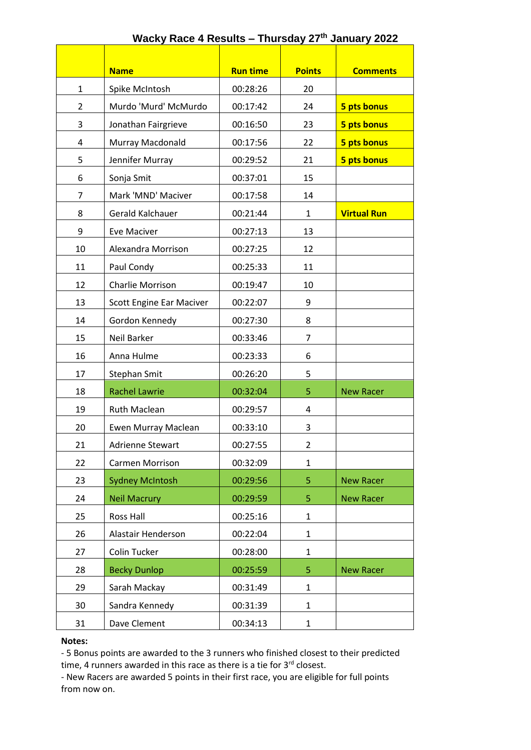|                |                                 | <b>Run time</b> | <b>Points</b>  |                    |  |
|----------------|---------------------------------|-----------------|----------------|--------------------|--|
|                | <b>Name</b>                     |                 |                | <b>Comments</b>    |  |
| $\mathbf{1}$   | Spike McIntosh                  | 00:28:26        | 20             |                    |  |
| $\overline{2}$ | Murdo 'Murd' McMurdo            | 00:17:42        | 24             | 5 pts bonus        |  |
| 3              | Jonathan Fairgrieve             | 00:16:50        | 23             | 5 pts bonus        |  |
| 4              | Murray Macdonald                | 00:17:56        | 22             | 5 pts bonus        |  |
| 5              | Jennifer Murray                 | 00:29:52        | 21             | 5 pts bonus        |  |
| 6              | Sonja Smit                      | 00:37:01        | 15             |                    |  |
| 7              | Mark 'MND' Maciver              | 00:17:58        | 14             |                    |  |
| 8              | Gerald Kalchauer                | 00:21:44        | 1              | <b>Virtual Run</b> |  |
| 9              | <b>Eve Maciver</b>              | 00:27:13        | 13             |                    |  |
| 10             | Alexandra Morrison              | 00:27:25        | 12             |                    |  |
| 11             | Paul Condy                      | 00:25:33        | 11             |                    |  |
| 12             | <b>Charlie Morrison</b>         | 00:19:47        | 10             |                    |  |
| 13             | <b>Scott Engine Ear Maciver</b> | 00:22:07        | 9              |                    |  |
| 14             | Gordon Kennedy                  | 00:27:30        | 8              |                    |  |
| 15             | Neil Barker                     | 00:33:46        | 7              |                    |  |
| 16             | Anna Hulme                      | 00:23:33        | 6              |                    |  |
| 17             | Stephan Smit                    | 00:26:20        | 5              |                    |  |
| 18             | <b>Rachel Lawrie</b>            | 00:32:04        | 5              | <b>New Racer</b>   |  |
| 19             | <b>Ruth Maclean</b>             | 00:29:57        | 4              |                    |  |
| 20             | Ewen Murray Maclean             | 00:33:10        | 3              |                    |  |
| 21             | Adrienne Stewart                | 00:27:55        | $\overline{2}$ |                    |  |
| 22             | <b>Carmen Morrison</b>          | 00:32:09        | $\mathbf{1}$   |                    |  |
| 23             | <b>Sydney McIntosh</b>          | 00:29:56        | 5              | <b>New Racer</b>   |  |
| 24             | <b>Neil Macrury</b>             | 00:29:59        | 5              | <b>New Racer</b>   |  |
| 25             | Ross Hall                       | 00:25:16        | $\mathbf{1}$   |                    |  |
| 26             | Alastair Henderson              | 00:22:04        | $\mathbf{1}$   |                    |  |
| 27             | Colin Tucker                    | 00:28:00        | $\mathbf{1}$   |                    |  |
| 28             | <b>Becky Dunlop</b>             | 00:25:59        | 5              | <b>New Racer</b>   |  |
| 29             | Sarah Mackay                    | 00:31:49        | $\mathbf{1}$   |                    |  |
| 30             | Sandra Kennedy                  | 00:31:39        | 1              |                    |  |
| 31             | Dave Clement                    | 00:34:13        | $\mathbf{1}$   |                    |  |

## **Wacky Race 4 Results – Thursday 27th January 2022**

## **Notes:**

- 5 Bonus points are awarded to the 3 runners who finished closest to their predicted time, 4 runners awarded in this race as there is a tie for  $3^{rd}$  closest.

- New Racers are awarded 5 points in their first race, you are eligible for full points from now on.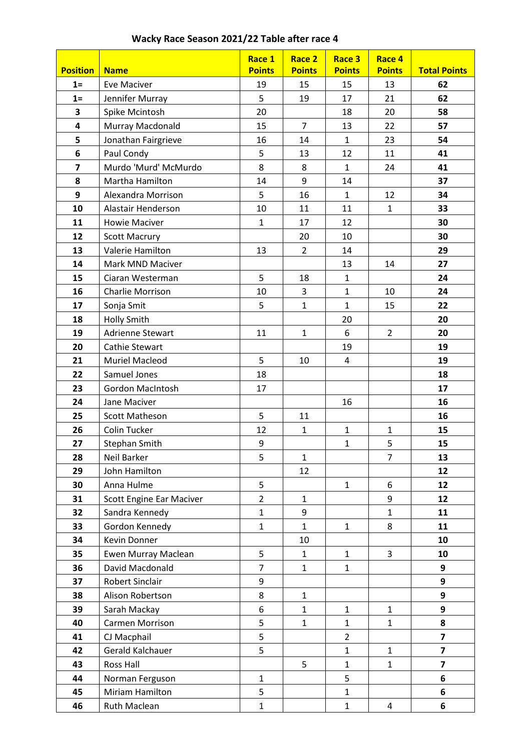## **Wacky Race Season 2021/22 Table after race 4**

|                         |                                 | Race 1         | Race 2         | Race 3         | Race 4         |                         |
|-------------------------|---------------------------------|----------------|----------------|----------------|----------------|-------------------------|
| <b>Position</b>         | <b>Name</b>                     | <b>Points</b>  | <b>Points</b>  | <b>Points</b>  | <b>Points</b>  | <b>Total Points</b>     |
| $1=$                    | <b>Eve Maciver</b>              | 19             | 15             | 15             | 13             | 62                      |
| $1 =$                   | Jennifer Murray                 | 5              | 19             | 17             | 21             | 62                      |
| 3                       | Spike Mcintosh                  | 20             |                | 18             | 20             | 58                      |
| 4                       | Murray Macdonald                | 15             | $\overline{7}$ | 13             | 22             | 57                      |
| 5                       | Jonathan Fairgrieve             | 16             | 14             | $\mathbf{1}$   | 23             | 54                      |
| 6                       | Paul Condy                      | 5              | 13             | 12             | 11             | 41                      |
| $\overline{\mathbf{z}}$ | Murdo 'Murd' McMurdo            | 8              | 8              | $\mathbf{1}$   | 24             | 41                      |
| 8                       | Martha Hamilton                 | 14             | 9              | 14             |                | 37                      |
| 9                       | Alexandra Morrison              | 5              | 16             | $\mathbf{1}$   | 12             | 34                      |
| 10                      | Alastair Henderson              | 10             | 11             | 11             | $\mathbf{1}$   | 33                      |
| 11                      | <b>Howie Maciver</b>            | $\mathbf{1}$   | 17             | 12             |                | 30                      |
| 12                      | <b>Scott Macrury</b>            |                | 20             | 10             |                | 30                      |
| 13                      | Valerie Hamilton                | 13             | $\overline{2}$ | 14             |                | 29                      |
| 14                      | Mark MND Maciver                |                |                | 13             | 14             | 27                      |
| 15                      | Ciaran Westerman                | 5              | 18             | $\mathbf{1}$   |                | 24                      |
| 16                      | <b>Charlie Morrison</b>         | 10             | 3              | $\mathbf{1}$   | 10             | 24                      |
| 17                      | Sonja Smit                      | 5              | $\mathbf{1}$   | $\mathbf{1}$   | 15             | 22                      |
| 18                      | <b>Holly Smith</b>              |                |                | 20             |                | 20                      |
| 19                      | <b>Adrienne Stewart</b>         | 11             | $\mathbf{1}$   | 6              | $\overline{2}$ | 20                      |
| 20                      | Cathie Stewart                  |                |                | 19             |                | 19                      |
| 21                      | Muriel Macleod                  | 5              | 10             | 4              |                | 19                      |
| 22                      | Samuel Jones                    | 18             |                |                |                | 18                      |
| 23                      | <b>Gordon MacIntosh</b>         | 17             |                |                |                | 17                      |
| 24                      | Jane Maciver                    |                |                | 16             |                | 16                      |
| 25                      | <b>Scott Matheson</b>           | 5              | 11             |                |                | 16                      |
| 26                      | Colin Tucker                    | 12             | $\mathbf 1$    | $\mathbf{1}$   | 1              | 15                      |
| 27                      | <b>Stephan Smith</b>            | 9              |                | $\mathbf{1}$   | 5              | 15                      |
| 28                      | Neil Barker                     | 5              | $\mathbf{1}$   |                | $\overline{7}$ | 13                      |
| 29                      | John Hamilton                   |                | 12             |                |                | 12                      |
| 30                      | Anna Hulme                      | 5              |                | $\mathbf{1}$   | 6              | 12                      |
| 31                      | <b>Scott Engine Ear Maciver</b> | $\overline{2}$ | $\mathbf{1}$   |                | 9              | 12                      |
| 32                      | Sandra Kennedy                  | $\mathbf{1}$   | 9              |                | $\mathbf{1}$   | 11                      |
| 33                      | Gordon Kennedy                  | $\mathbf{1}$   | $\mathbf{1}$   | $\mathbf{1}$   | 8              | 11                      |
| 34                      | Kevin Donner                    |                | 10             |                |                | 10                      |
| 35                      | Ewen Murray Maclean             | 5              | $\mathbf{1}$   | $\mathbf{1}$   | 3              | 10                      |
| 36                      | David Macdonald                 | $\overline{7}$ | $\mathbf{1}$   | $\mathbf{1}$   |                | 9                       |
| 37                      | <b>Robert Sinclair</b>          | 9              |                |                |                | 9                       |
| 38                      | Alison Robertson                | 8              | $\mathbf{1}$   |                |                | 9                       |
| 39                      | Sarah Mackay                    | 6              | $\mathbf{1}$   | $\mathbf{1}$   | $\mathbf{1}$   | 9                       |
| 40                      | <b>Carmen Morrison</b>          | 5              | $\mathbf{1}$   | $\mathbf{1}$   | $\mathbf{1}$   | 8                       |
| 41                      | CJ Macphail                     | 5              |                | $\overline{2}$ |                | $\overline{\mathbf{z}}$ |
| 42                      | Gerald Kalchauer                | 5              |                | $\mathbf{1}$   | $\mathbf{1}$   | $\overline{\mathbf{z}}$ |
| 43                      | <b>Ross Hall</b>                |                | 5              | $\mathbf{1}$   | $\mathbf{1}$   | $\overline{\mathbf{z}}$ |
| 44                      | Norman Ferguson                 | $\mathbf{1}$   |                | 5              |                | 6                       |
| 45                      | Miriam Hamilton                 | 5              |                | $\mathbf{1}$   |                | 6                       |
| 46                      | Ruth Maclean                    | $\mathbf{1}$   |                | $\mathbf{1}$   | 4              | 6                       |